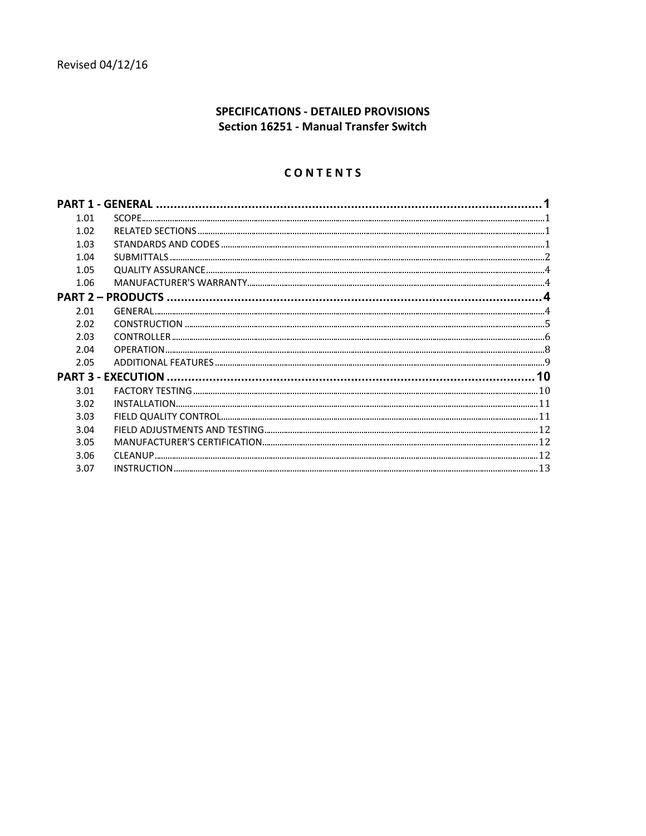# **SPECIFICATIONS - DETAILED PROVISIONS** Section 16251 - Manual Transfer Switch

# CONTENTS

|      | <b>GENERAL</b> |
|------|----------------|
| 1.01 |                |
| 102  |                |
| 1 กว |                |
| 1.04 |                |
| 1.05 |                |
| 1.06 |                |
|      |                |
| 2 Q1 |                |
| 2.02 |                |
| ን በ3 |                |
| 2.04 |                |
| 2.05 |                |
|      |                |
| 3.01 |                |
| 3.02 |                |
| ३ ०३ |                |
| 3 N4 |                |
| 3.05 |                |
| 3.06 |                |
| 3.07 |                |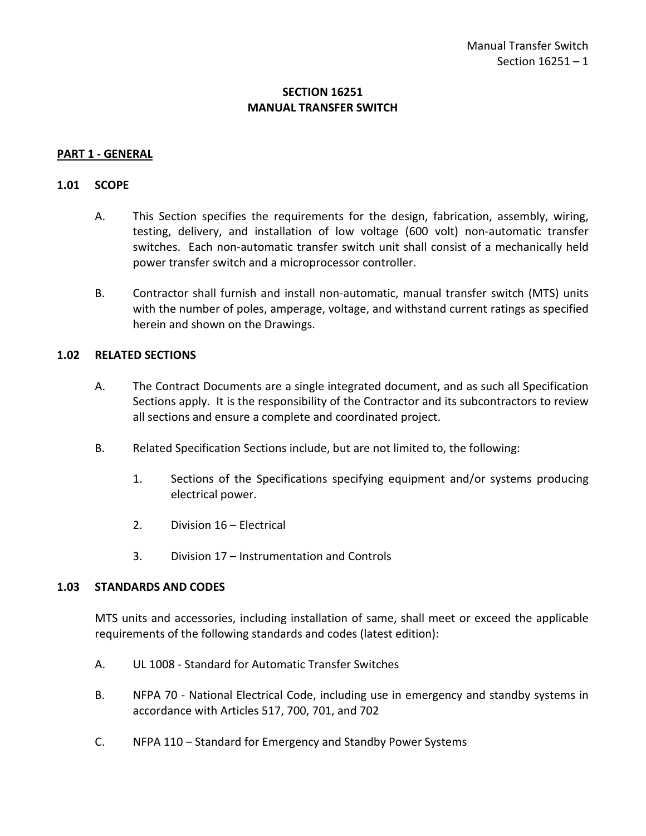# **SECTION 16251 MANUAL TRANSFER SWITCH**

## <span id="page-2-0"></span>**PART 1 - GENERAL**

### <span id="page-2-1"></span>**1.01 SCOPE**

- A. This Section specifies the requirements for the design, fabrication, assembly, wiring, testing, delivery, and installation of low voltage (600 volt) non-automatic transfer switches. Each non-automatic transfer switch unit shall consist of a mechanically held power transfer switch and a microprocessor controller.
- B. Contractor shall furnish and install non-automatic, manual transfer switch (MTS) units with the number of poles, amperage, voltage, and withstand current ratings as specified herein and shown on the Drawings.

### <span id="page-2-2"></span>**1.02 RELATED SECTIONS**

- A. The Contract Documents are a single integrated document, and as such all Specification Sections apply. It is the responsibility of the Contractor and its subcontractors to review all sections and ensure a complete and coordinated project.
- B. Related Specification Sections include, but are not limited to, the following:
	- 1. Sections of the Specifications specifying equipment and/or systems producing electrical power.
	- 2. Division 16 Electrical
	- 3. Division 17 Instrumentation and Controls

### <span id="page-2-3"></span>**1.03 STANDARDS AND CODES**

MTS units and accessories, including installation of same, shall meet or exceed the applicable requirements of the following standards and codes (latest edition):

- A. UL 1008 Standard for Automatic Transfer Switches
- B. NFPA 70 National Electrical Code, including use in emergency and standby systems in accordance with Articles 517, 700, 701, and 702
- C. NFPA 110 Standard for Emergency and Standby Power Systems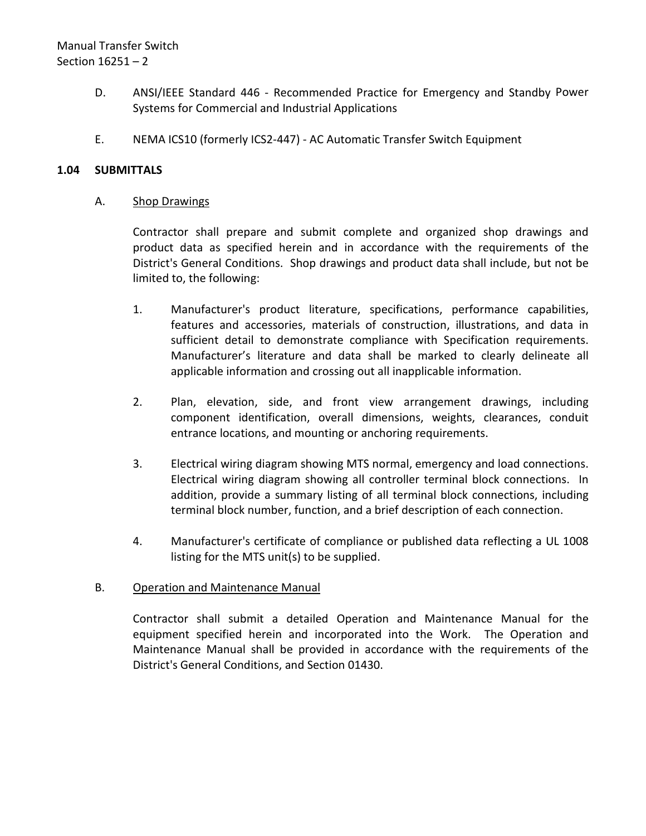- D. ANSI/IEEE Standard 446 Recommended Practice for Emergency and Standby Power Systems for Commercial and Industrial Applications
- E. NEMA ICS10 (formerly ICS2-447) AC Automatic Transfer Switch Equipment

## <span id="page-3-0"></span>**1.04 SUBMITTALS**

## A. Shop Drawings

Contractor shall prepare and submit complete and organized shop drawings and product data as specified herein and in accordance with the requirements of the District's General Conditions. Shop drawings and product data shall include, but not be limited to, the following:

- 1. Manufacturer's product literature, specifications, performance capabilities, features and accessories, materials of construction, illustrations, and data in sufficient detail to demonstrate compliance with Specification requirements. Manufacturer's literature and data shall be marked to clearly delineate all applicable information and crossing out all inapplicable information.
- 2. Plan, elevation, side, and front view arrangement drawings, including component identification, overall dimensions, weights, clearances, conduit entrance locations, and mounting or anchoring requirements.
- 3. Electrical wiring diagram showing MTS normal, emergency and load connections. Electrical wiring diagram showing all controller terminal block connections. In addition, provide a summary listing of all terminal block connections, including terminal block number, function, and a brief description of each connection.
- 4. Manufacturer's certificate of compliance or published data reflecting a UL 1008 listing for the MTS unit(s) to be supplied.

# B. Operation and Maintenance Manual

Contractor shall submit a detailed Operation and Maintenance Manual for the equipment specified herein and incorporated into the Work. The Operation and Maintenance Manual shall be provided in accordance with the requirements of the District's General Conditions, and Section 01430.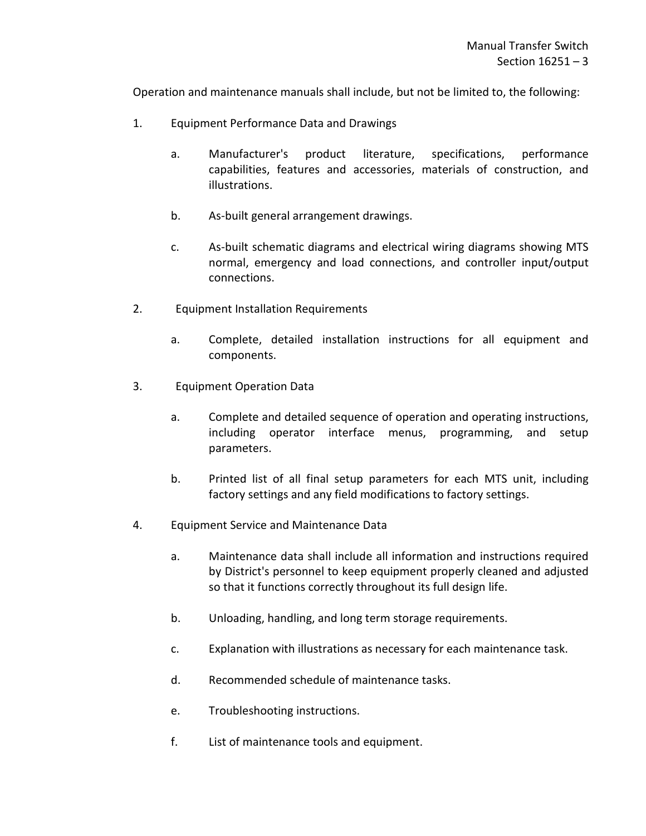Operation and maintenance manuals shall include, but not be limited to, the following:

- 1. Equipment Performance Data and Drawings
	- a. Manufacturer's product literature, specifications, performance capabilities, features and accessories, materials of construction, and illustrations.
	- b. As-built general arrangement drawings.
	- c. As-built schematic diagrams and electrical wiring diagrams showing MTS normal, emergency and load connections, and controller input/output connections.
- 2. Equipment Installation Requirements
	- a. Complete, detailed installation instructions for all equipment and components.
- 3. Equipment Operation Data
	- a. Complete and detailed sequence of operation and operating instructions, including operator interface menus, programming, and setup parameters.
	- b. Printed list of all final setup parameters for each MTS unit, including factory settings and any field modifications to factory settings.
- 4. Equipment Service and Maintenance Data
	- a. Maintenance data shall include all information and instructions required by District's personnel to keep equipment properly cleaned and adjusted so that it functions correctly throughout its full design life.
	- b. Unloading, handling, and long term storage requirements.
	- c. Explanation with illustrations as necessary for each maintenance task.
	- d. Recommended schedule of maintenance tasks.
	- e. Troubleshooting instructions.
	- f. List of maintenance tools and equipment.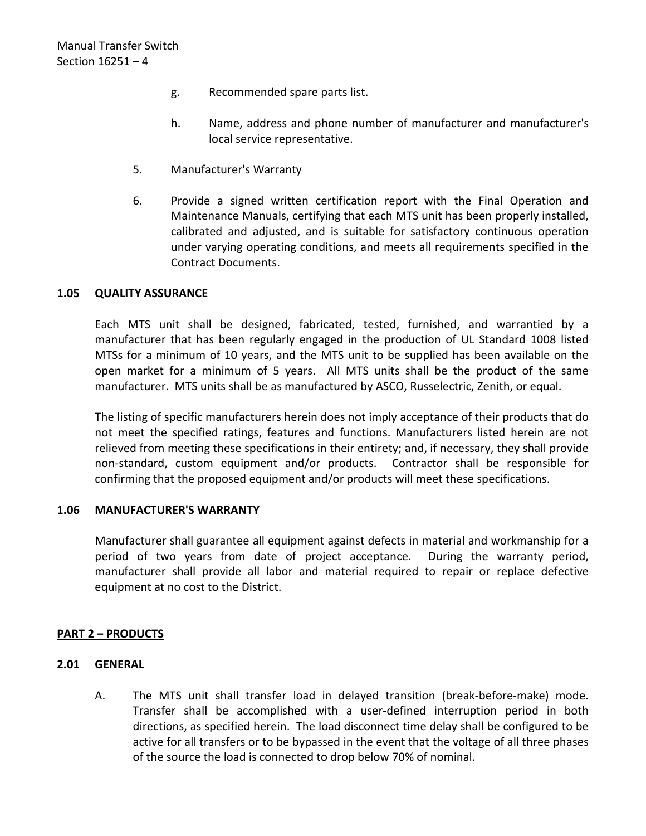- g. Recommended spare parts list.
- h. Name, address and phone number of manufacturer and manufacturer's local service representative.
- 5. Manufacturer's Warranty
- 6. Provide a signed written certification report with the Final Operation and Maintenance Manuals, certifying that each MTS unit has been properly installed, calibrated and adjusted, and is suitable for satisfactory continuous operation under varying operating conditions, and meets all requirements specified in the Contract Documents.

# <span id="page-5-0"></span>**1.05 QUALITY ASSURANCE**

Each MTS unit shall be designed, fabricated, tested, furnished, and warrantied by a manufacturer that has been regularly engaged in the production of UL Standard 1008 listed MTSs for a minimum of 10 years, and the MTS unit to be supplied has been available on the open market for a minimum of 5 years. All MTS units shall be the product of the same manufacturer. MTS units shall be as manufactured by ASCO, Russelectric, Zenith, or equal.

The listing of specific manufacturers herein does not imply acceptance of their products that do not meet the specified ratings, features and functions. Manufacturers listed herein are not relieved from meeting these specifications in their entirety; and, if necessary, they shall provide non-standard, custom equipment and/or products. Contractor shall be responsible for confirming that the proposed equipment and/or products will meet these specifications.

# <span id="page-5-1"></span>**1.06 MANUFACTURER'S WARRANTY**

Manufacturer shall guarantee all equipment against defects in material and workmanship for a period of two years from date of project acceptance. During the warranty period, manufacturer shall provide all labor and material required to repair or replace defective equipment at no cost to the District.

# <span id="page-5-2"></span>**PART 2 – PRODUCTS**

# <span id="page-5-3"></span>**2.01 GENERAL**

A. The MTS unit shall transfer load in delayed transition (break-before-make) mode. Transfer shall be accomplished with a user-defined interruption period in both directions, as specified herein. The load disconnect time delay shall be configured to be active for all transfers or to be bypassed in the event that the voltage of all three phases of the source the load is connected to drop below 70% of nominal.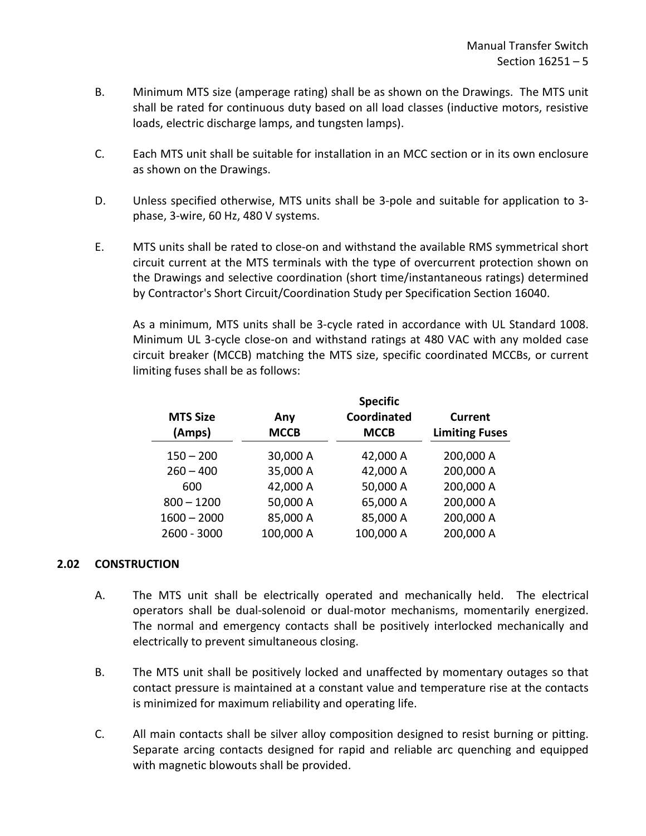- B. Minimum MTS size (amperage rating) shall be as shown on the Drawings. The MTS unit shall be rated for continuous duty based on all load classes (inductive motors, resistive loads, electric discharge lamps, and tungsten lamps).
- C. Each MTS unit shall be suitable for installation in an MCC section or in its own enclosure as shown on the Drawings.
- D. Unless specified otherwise, MTS units shall be 3-pole and suitable for application to 3 phase, 3-wire, 60 Hz, 480 V systems.
- E. MTS units shall be rated to close-on and withstand the available RMS symmetrical short circuit current at the MTS terminals with the type of overcurrent protection shown on the Drawings and selective coordination (short time/instantaneous ratings) determined by Contractor's Short Circuit/Coordination Study per Specification Section 16040.

As a minimum, MTS units shall be 3-cycle rated in accordance with UL Standard 1008. Minimum UL 3-cycle close-on and withstand ratings at 480 VAC with any molded case circuit breaker (MCCB) matching the MTS size, specific coordinated MCCBs, or current limiting fuses shall be as follows:

| <b>MTS Size</b><br>(Amps) |               | Any<br><b>MCCB</b> | <b>Specific</b><br>Coordinated<br><b>MCCB</b> | Current<br><b>Limiting Fuses</b> |
|---------------------------|---------------|--------------------|-----------------------------------------------|----------------------------------|
|                           | $150 - 200$   | 30,000 A           | 42,000 A                                      | 200,000 A                        |
|                           | $260 - 400$   | 35,000 A           | 42,000 A                                      | 200,000 A                        |
|                           | 600           | 42,000 A           | 50,000 A                                      | 200,000 A                        |
|                           | $800 - 1200$  | 50,000 A           | 65,000 A                                      | 200,000 A                        |
|                           | $1600 - 2000$ | 85,000 A           | 85,000 A                                      | 200,000 A                        |
|                           | 2600 - 3000   | 100,000 A          | 100,000 A                                     | 200,000 A                        |
|                           |               |                    |                                               |                                  |

# <span id="page-6-0"></span>**2.02 CONSTRUCTION**

- A. The MTS unit shall be electrically operated and mechanically held. The electrical operators shall be dual-solenoid or dual-motor mechanisms, momentarily energized. The normal and emergency contacts shall be positively interlocked mechanically and electrically to prevent simultaneous closing.
- B. The MTS unit shall be positively locked and unaffected by momentary outages so that contact pressure is maintained at a constant value and temperature rise at the contacts is minimized for maximum reliability and operating life.
- C. All main contacts shall be silver alloy composition designed to resist burning or pitting. Separate arcing contacts designed for rapid and reliable arc quenching and equipped with magnetic blowouts shall be provided.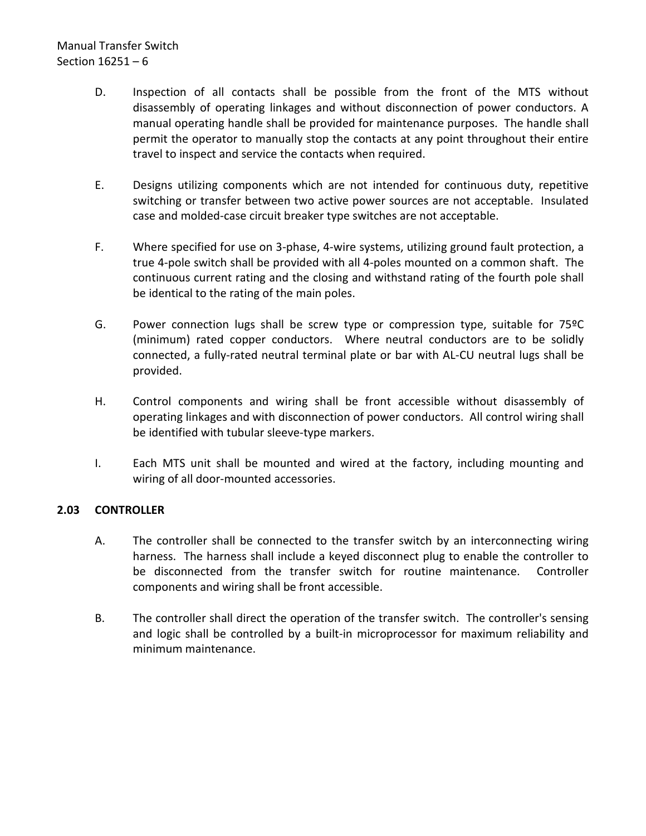# Manual Transfer Switch Section 16251 – 6

- D. Inspection of all contacts shall be possible from the front of the MTS without disassembly of operating linkages and without disconnection of power conductors. A manual operating handle shall be provided for maintenance purposes. The handle shall permit the operator to manually stop the contacts at any point throughout their entire travel to inspect and service the contacts when required.
- E. Designs utilizing components which are not intended for continuous duty, repetitive switching or transfer between two active power sources are not acceptable. Insulated case and molded-case circuit breaker type switches are not acceptable.
- F. Where specified for use on 3-phase, 4-wire systems, utilizing ground fault protection, a true 4-pole switch shall be provided with all 4-poles mounted on a common shaft. The continuous current rating and the closing and withstand rating of the fourth pole shall be identical to the rating of the main poles.
- G. Power connection lugs shall be screw type or compression type, suitable for 75ºC (minimum) rated copper conductors. Where neutral conductors are to be solidly connected, a fully-rated neutral terminal plate or bar with AL-CU neutral lugs shall be provided.
- H. Control components and wiring shall be front accessible without disassembly of operating linkages and with disconnection of power conductors. All control wiring shall be identified with tubular sleeve-type markers.
- I. Each MTS unit shall be mounted and wired at the factory, including mounting and wiring of all door-mounted accessories.

# <span id="page-7-0"></span>**2.03 CONTROLLER**

- A. The controller shall be connected to the transfer switch by an interconnecting wiring harness. The harness shall include a keyed disconnect plug to enable the controller to be disconnected from the transfer switch for routine maintenance. Controller components and wiring shall be front accessible.
- B. The controller shall direct the operation of the transfer switch. The controller's sensing and logic shall be controlled by a built-in microprocessor for maximum reliability and minimum maintenance.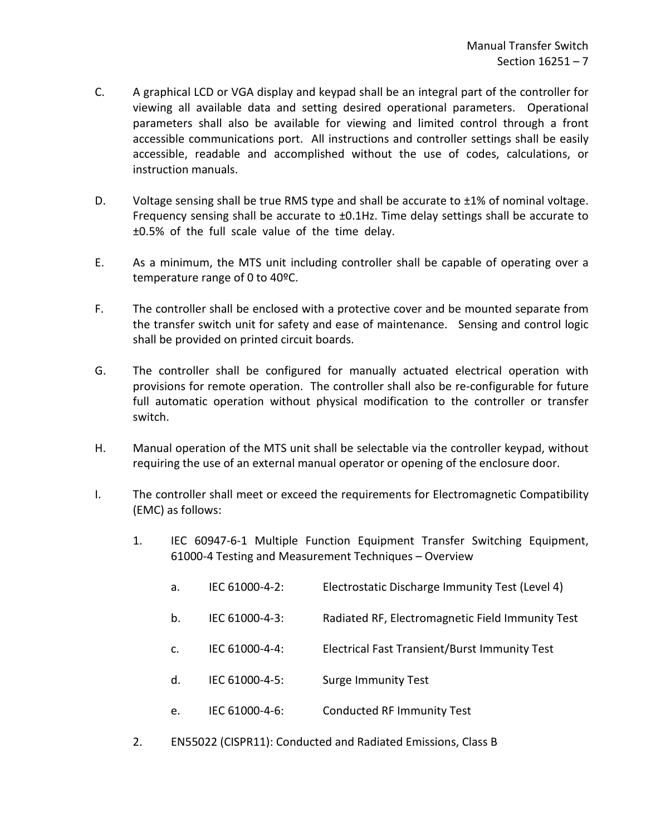- C. A graphical LCD or VGA display and keypad shall be an integral part of the controller for viewing all available data and setting desired operational parameters. Operational parameters shall also be available for viewing and limited control through a front accessible communications port. All instructions and controller settings shall be easily accessible, readable and accomplished without the use of codes, calculations, or instruction manuals.
- D. Voltage sensing shall be true RMS type and shall be accurate to  $\pm 1\%$  of nominal voltage. Frequency sensing shall be accurate to  $\pm 0.1$ Hz. Time delay settings shall be accurate to ±0.5% of the full scale value of the time delay.
- E. As a minimum, the MTS unit including controller shall be capable of operating over a temperature range of 0 to 40ºC.
- F. The controller shall be enclosed with a protective cover and be mounted separate from the transfer switch unit for safety and ease of maintenance. Sensing and control logic shall be provided on printed circuit boards.
- G. The controller shall be configured for manually actuated electrical operation with provisions for remote operation. The controller shall also be re-configurable for future full automatic operation without physical modification to the controller or transfer switch.
- H. Manual operation of the MTS unit shall be selectable via the controller keypad, without requiring the use of an external manual operator or opening of the enclosure door.
- I. The controller shall meet or exceed the requirements for Electromagnetic Compatibility (EMC) as follows:
	- 1. IEC 60947-6-1 Multiple Function Equipment Transfer Switching Equipment, 61000-4 Testing and Measurement Techniques – Overview
		- a. IEC 61000-4-2: Electrostatic Discharge Immunity Test (Level 4) b. IEC 61000-4-3: Radiated RF, Electromagnetic Field Immunity Test
		- c. IEC 61000-4-4: Electrical Fast Transient/Burst Immunity Test
		- d. IEC 61000-4-5: Surge Immunity Test
		- e. IEC 61000-4-6: Conducted RF Immunity Test
	- 2. EN55022 (CISPR11): Conducted and Radiated Emissions, Class B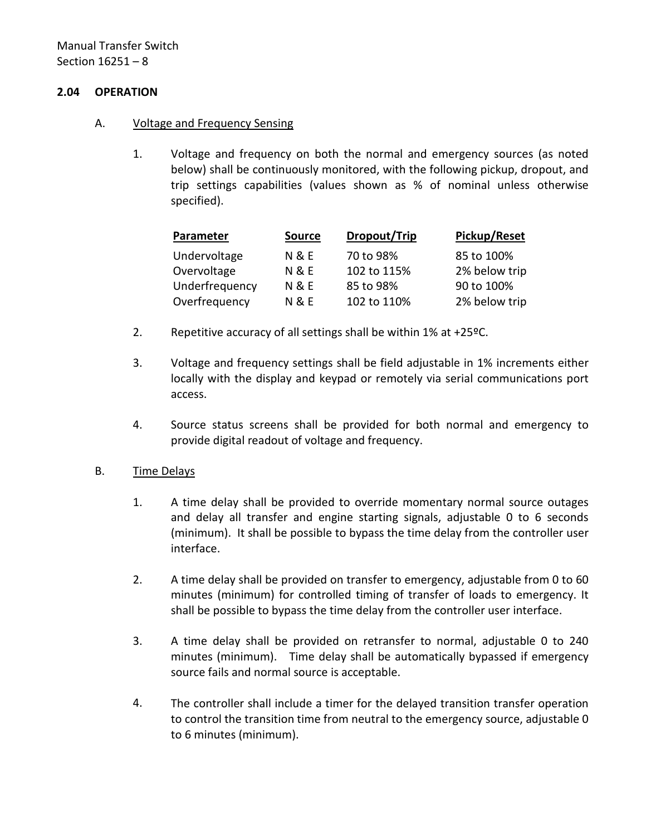## <span id="page-9-0"></span>**2.04 OPERATION**

- A. Voltage and Frequency Sensing
	- 1. Voltage and frequency on both the normal and emergency sources (as noted below) shall be continuously monitored, with the following pickup, dropout, and trip settings capabilities (values shown as % of nominal unless otherwise specified).

| Parameter      | <b>Source</b>    | <b>Dropout/Trip</b> | Pickup/Reset  |
|----------------|------------------|---------------------|---------------|
| Undervoltage   | N & E            | 70 to 98%           | 85 to 100%    |
| Overvoltage    | <b>N &amp; E</b> | 102 to 115%         | 2% below trip |
| Underfrequency | <b>N&amp;E</b>   | 85 to 98%           | 90 to 100%    |
| Overfrequency  | <b>N&amp;E</b>   | 102 to 110%         | 2% below trip |

- 2. Repetitive accuracy of all settings shall be within 1% at +25ºC.
- 3. Voltage and frequency settings shall be field adjustable in 1% increments either locally with the display and keypad or remotely via serial communications port access.
- 4. Source status screens shall be provided for both normal and emergency to provide digital readout of voltage and frequency.

# B. Time Delays

- 1. A time delay shall be provided to override momentary normal source outages and delay all transfer and engine starting signals, adjustable 0 to 6 seconds (minimum). It shall be possible to bypass the time delay from the controller user interface.
- 2. A time delay shall be provided on transfer to emergency, adjustable from 0 to 60 minutes (minimum) for controlled timing of transfer of loads to emergency. It shall be possible to bypass the time delay from the controller user interface.
- 3. A time delay shall be provided on retransfer to normal, adjustable 0 to 240 minutes (minimum). Time delay shall be automatically bypassed if emergency source fails and normal source is acceptable.
- 4. The controller shall include a timer for the delayed transition transfer operation to control the transition time from neutral to the emergency source, adjustable 0 to 6 minutes (minimum).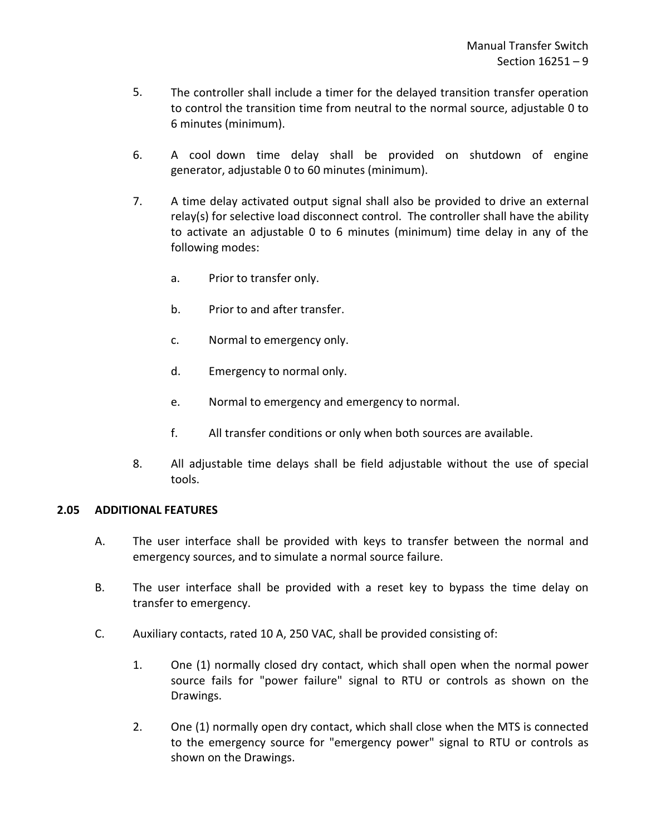- 5. The controller shall include a timer for the delayed transition transfer operation to control the transition time from neutral to the normal source, adjustable 0 to 6 minutes (minimum).
- 6. A cool down time delay shall be provided on shutdown of engine generator, adjustable 0 to 60 minutes (minimum).
- 7. A time delay activated output signal shall also be provided to drive an external relay(s) for selective load disconnect control. The controller shall have the ability to activate an adjustable 0 to 6 minutes (minimum) time delay in any of the following modes:
	- a. Prior to transfer only.
	- b. Prior to and after transfer.
	- c. Normal to emergency only.
	- d. Emergency to normal only.
	- e. Normal to emergency and emergency to normal.
	- f. All transfer conditions or only when both sources are available.
- 8. All adjustable time delays shall be field adjustable without the use of special tools.

# <span id="page-10-0"></span>**2.05 ADDITIONAL FEATURES**

- A. The user interface shall be provided with keys to transfer between the normal and emergency sources, and to simulate a normal source failure.
- B. The user interface shall be provided with a reset key to bypass the time delay on transfer to emergency.
- C. Auxiliary contacts, rated 10 A, 250 VAC, shall be provided consisting of:
	- 1. One (1) normally closed dry contact, which shall open when the normal power source fails for "power failure" signal to RTU or controls as shown on the Drawings.
	- 2. One (1) normally open dry contact, which shall close when the MTS is connected to the emergency source for "emergency power" signal to RTU or controls as shown on the Drawings.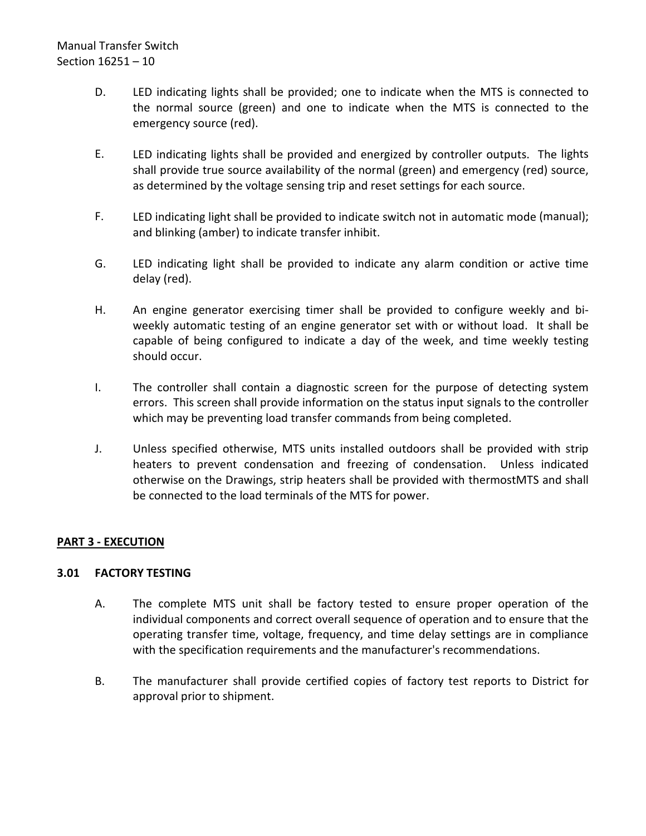- D. LED indicating lights shall be provided; one to indicate when the MTS is connected to the normal source (green) and one to indicate when the MTS is connected to the emergency source (red).
- E. LED indicating lights shall be provided and energized by controller outputs. The lights shall provide true source availability of the normal (green) and emergency (red) source, as determined by the voltage sensing trip and reset settings for each source.
- F. LED indicating light shall be provided to indicate switch not in automatic mode (manual); and blinking (amber) to indicate transfer inhibit.
- G. LED indicating light shall be provided to indicate any alarm condition or active time delay (red).
- H. An engine generator exercising timer shall be provided to configure weekly and biweekly automatic testing of an engine generator set with or without load. It shall be capable of being configured to indicate a day of the week, and time weekly testing should occur.
- I. The controller shall contain a diagnostic screen for the purpose of detecting system errors. This screen shall provide information on the status input signals to the controller which may be preventing load transfer commands from being completed.
- J. Unless specified otherwise, MTS units installed outdoors shall be provided with strip heaters to prevent condensation and freezing of condensation. Unless indicated otherwise on the Drawings, strip heaters shall be provided with thermostMTS and shall be connected to the load terminals of the MTS for power.

# <span id="page-11-0"></span>**PART 3 - EXECUTION**

# <span id="page-11-1"></span>**3.01 FACTORY TESTING**

- A. The complete MTS unit shall be factory tested to ensure proper operation of the individual components and correct overall sequence of operation and to ensure that the operating transfer time, voltage, frequency, and time delay settings are in compliance with the specification requirements and the manufacturer's recommendations.
- B. The manufacturer shall provide certified copies of factory test reports to District for approval prior to shipment.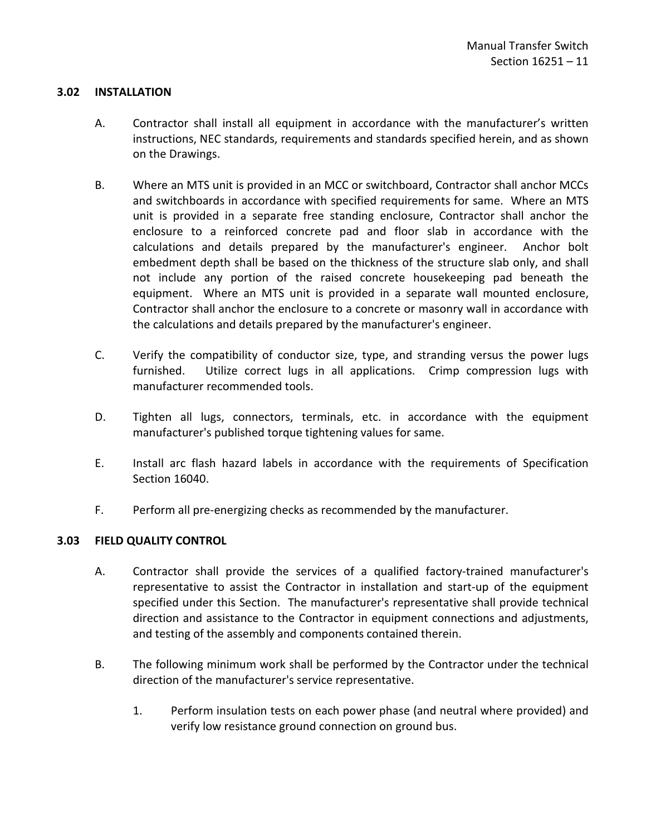## <span id="page-12-0"></span>**3.02 INSTALLATION**

- A. Contractor shall install all equipment in accordance with the manufacturer's written instructions, NEC standards, requirements and standards specified herein, and as shown on the Drawings.
- B. Where an MTS unit is provided in an MCC or switchboard, Contractor shall anchor MCCs and switchboards in accordance with specified requirements for same. Where an MTS unit is provided in a separate free standing enclosure, Contractor shall anchor the enclosure to a reinforced concrete pad and floor slab in accordance with the calculations and details prepared by the manufacturer's engineer. Anchor bolt embedment depth shall be based on the thickness of the structure slab only, and shall not include any portion of the raised concrete housekeeping pad beneath the equipment. Where an MTS unit is provided in a separate wall mounted enclosure, Contractor shall anchor the enclosure to a concrete or masonry wall in accordance with the calculations and details prepared by the manufacturer's engineer.
- C. Verify the compatibility of conductor size, type, and stranding versus the power lugs furnished. Utilize correct lugs in all applications. Crimp compression lugs with manufacturer recommended tools.
- D. Tighten all lugs, connectors, terminals, etc. in accordance with the equipment manufacturer's published torque tightening values for same.
- E. Install arc flash hazard labels in accordance with the requirements of Specification Section 16040.
- F. Perform all pre-energizing checks as recommended by the manufacturer.

### <span id="page-12-1"></span>**3.03 FIELD QUALITY CONTROL**

- A. Contractor shall provide the services of a qualified factory-trained manufacturer's representative to assist the Contractor in installation and start-up of the equipment specified under this Section. The manufacturer's representative shall provide technical direction and assistance to the Contractor in equipment connections and adjustments, and testing of the assembly and components contained therein.
- B. The following minimum work shall be performed by the Contractor under the technical direction of the manufacturer's service representative.
	- 1. Perform insulation tests on each power phase (and neutral where provided) and verify low resistance ground connection on ground bus.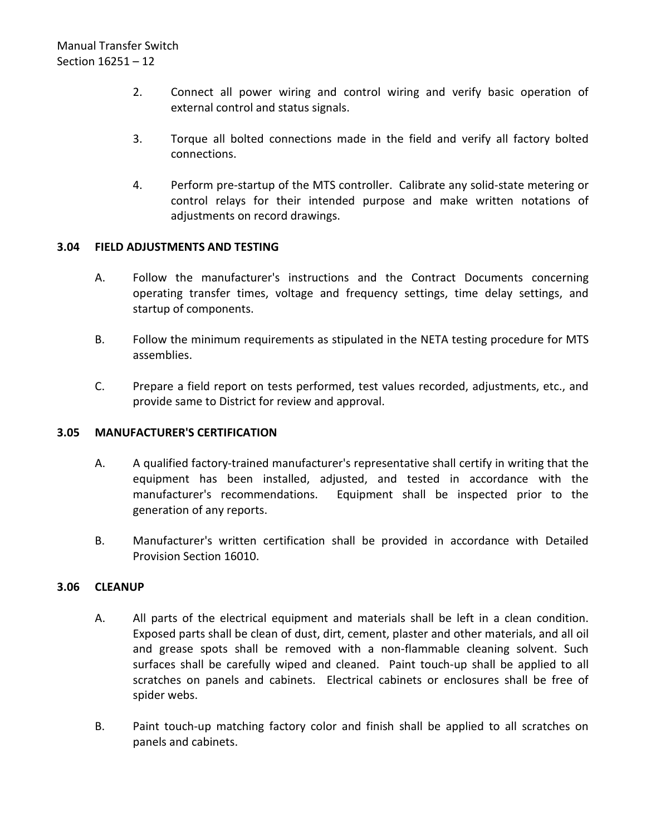- 2. Connect all power wiring and control wiring and verify basic operation of external control and status signals.
- 3. Torque all bolted connections made in the field and verify all factory bolted connections.
- 4. Perform pre-startup of the MTS controller. Calibrate any solid-state metering or control relays for their intended purpose and make written notations of adjustments on record drawings.

# <span id="page-13-0"></span>**3.04 FIELD ADJUSTMENTS AND TESTING**

- A. Follow the manufacturer's instructions and the Contract Documents concerning operating transfer times, voltage and frequency settings, time delay settings, and startup of components.
- B. Follow the minimum requirements as stipulated in the NETA testing procedure for MTS assemblies.
- C. Prepare a field report on tests performed, test values recorded, adjustments, etc., and provide same to District for review and approval.

# <span id="page-13-1"></span>**3.05 MANUFACTURER'S CERTIFICATION**

- A. A qualified factory-trained manufacturer's representative shall certify in writing that the equipment has been installed, adjusted, and tested in accordance with the manufacturer's recommendations. Equipment shall be inspected prior to the generation of any reports.
- B. Manufacturer's written certification shall be provided in accordance with Detailed Provision Section 16010.

### <span id="page-13-2"></span>**3.06 CLEANUP**

- A. All parts of the electrical equipment and materials shall be left in a clean condition. Exposed parts shall be clean of dust, dirt, cement, plaster and other materials, and all oil and grease spots shall be removed with a non-flammable cleaning solvent. Such surfaces shall be carefully wiped and cleaned. Paint touch-up shall be applied to all scratches on panels and cabinets. Electrical cabinets or enclosures shall be free of spider webs.
- B. Paint touch-up matching factory color and finish shall be applied to all scratches on panels and cabinets.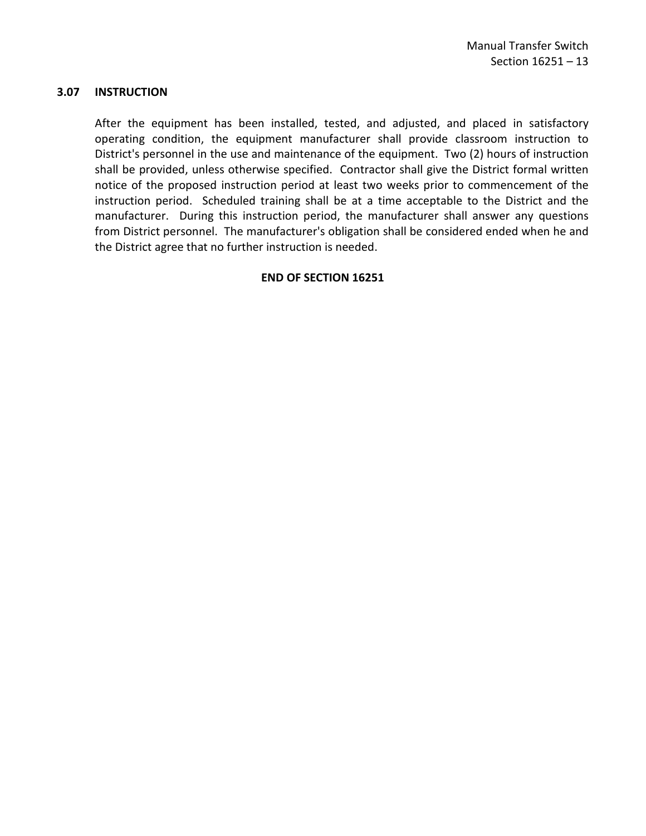#### <span id="page-14-0"></span>**3.07 INSTRUCTION**

After the equipment has been installed, tested, and adjusted, and placed in satisfactory operating condition, the equipment manufacturer shall provide classroom instruction to District's personnel in the use and maintenance of the equipment. Two (2) hours of instruction shall be provided, unless otherwise specified. Contractor shall give the District formal written notice of the proposed instruction period at least two weeks prior to commencement of the instruction period. Scheduled training shall be at a time acceptable to the District and the manufacturer. During this instruction period, the manufacturer shall answer any questions from District personnel. The manufacturer's obligation shall be considered ended when he and the District agree that no further instruction is needed.

### **END OF SECTION 16251**